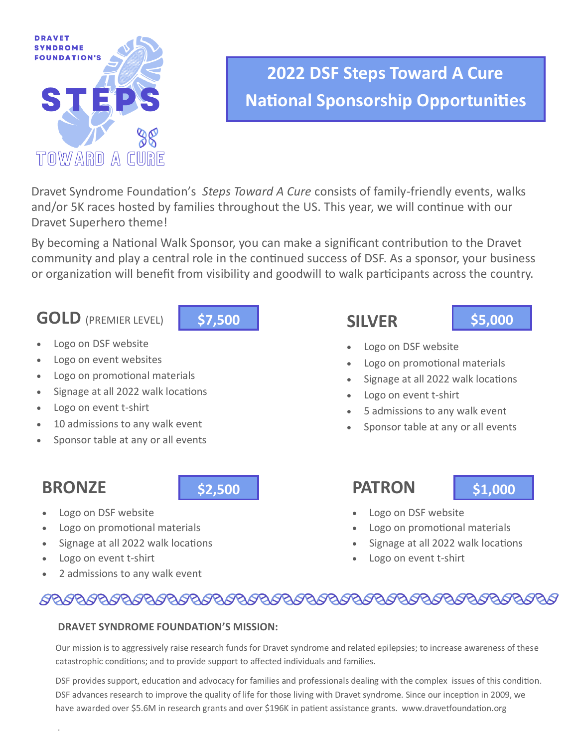

# **2022 DSF Steps Toward A Cure National Sponsorship Opportunities**

Dravet Syndrome Foundation's *Steps Toward A Cure* consists of family-friendly events, walks and/or 5K races hosted by families throughout the US. This year, we will continue with our Dravet Superhero theme!

By becoming a National Walk Sponsor, you can make a significant contribution to the Dravet community and play a central role in the continued success of DSF. As a sponsor, your business or organization will benefit from visibility and goodwill to walk participants across the country.

## **GOLD** (PREMIER LEVEL)



- Logo on DSF website
- Logo on event websites
- Logo on promotional materials
- Signage at all 2022 walk locations
- Logo on event t-shirt
- 10 admissions to any walk event
- Sponsor table at any or all events

## **BRONZE**

.

- Logo on DSF website
- Logo on promotional materials
- Signage at all 2022 walk locations
- Logo on event t-shirt
- 2 admissions to any walk event

## **SILVER**

### **\$5,000**

- Logo on DSF website
- Logo on promotional materials
- Signage at all 2022 walk locations
- Logo on event t-shirt
- 5 admissions to any walk event
- Sponsor table at any or all events

## **\$2,500 \$1,000 \$1,000**

- Logo on DSF website
- Logo on promotional materials
- Signage at all 2022 walk locations
- Logo on event t-shirt

## 

### **DRAVET SYNDROME FOUNDATION'S MISSION:**

Our mission is to aggressively raise research funds for Dravet syndrome and related epilepsies; to increase awareness of these catastrophic conditions; and to provide support to affected individuals and families.

DSF provides support, education and advocacy for families and professionals dealing with the complex issues of this condition. DSF advances research to improve the quality of life for those living with Dravet syndrome. Since our inception in 2009, we have awarded over \$5.6M in research grants and over \$196K in patient assistance grants. www.dravetfoundation.org